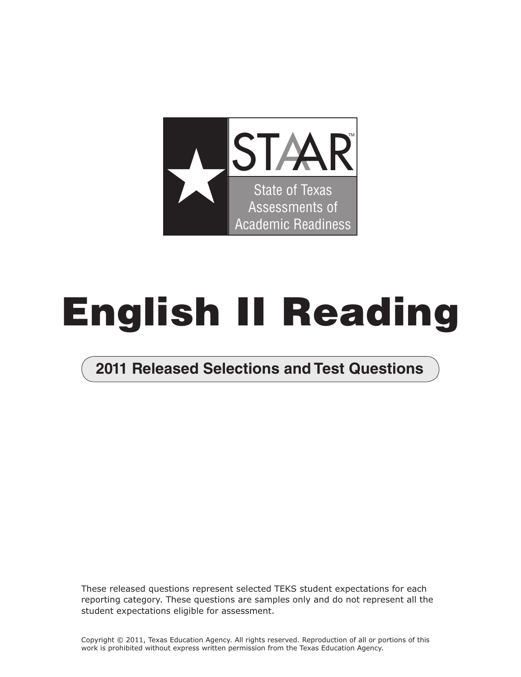

# **English II Reading**

## **2011 Released Selections and Test Questions**

These released questions represent selected TEKS student expectations for each reporting category. These questions are samples only and do not represent all the student expectations eligible for assessment.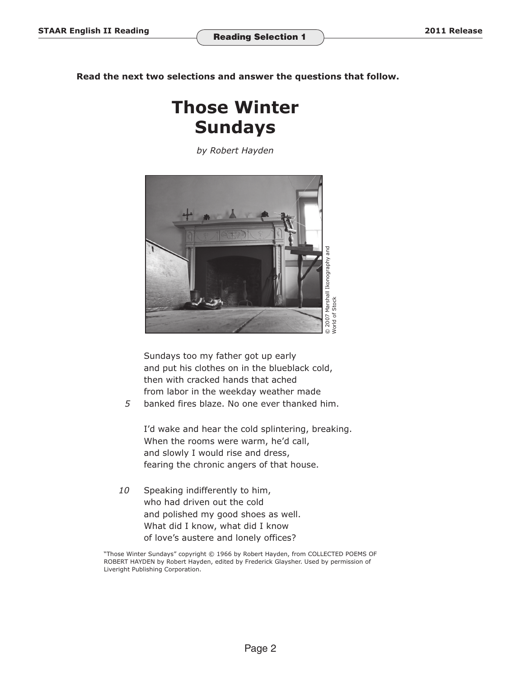**Read the next two selections and answer the questions that follow.** 

# **Those Winter Sundays**

*by Robert Hayden* 



Sundays too my father got up early and put his clothes on in the blueblack cold, then with cracked hands that ached from labor in the weekday weather made

 *5* banked fires blaze. No one ever thanked him.

I'd wake and hear the cold splintering, breaking. When the rooms were warm, he'd call, and slowly I would rise and dress, fearing the chronic angers of that house.

10 Speaking indifferently to him, who had driven out the cold and polished my good shoes as well. What did I know, what did I know of love's austere and lonely offices?

<sup>&</sup>quot;Those Winter Sundays" copyright © 1966 by Robert Hayden, from COLLECTED POEMS OF ROBERT HAYDEN by Robert Hayden, edited by Frederick Glaysher. Used by permission of Liveright Publishing Corporation.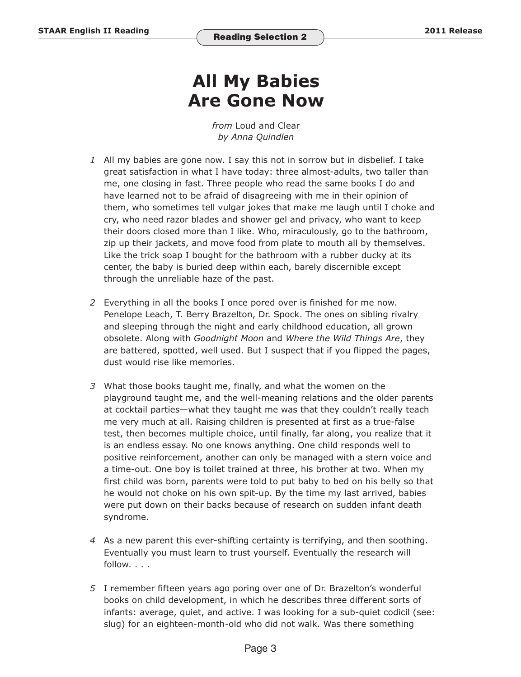# **All My Babies Are Gone Now**

*from* Loud and Clear *by Anna Quindlen*

- *1* All my babies are gone now. I say this not in sorrow but in disbelief. I take great satisfaction in what I have today: three almost-adults, two taller than me, one closing in fast. Three people who read the same books I do and have learned not to be afraid of disagreeing with me in their opinion of them, who sometimes tell vulgar jokes that make me laugh until I choke and cry, who need razor blades and shower gel and privacy, who want to keep their doors closed more than I like. Who, miraculously, go to the bathroom, zip up their jackets, and move food from plate to mouth all by themselves. Like the trick soap I bought for the bathroom with a rubber ducky at its center, the baby is buried deep within each, barely discernible except through the unreliable haze of the past.
- *2* Everything in all the books I once pored over is finished for me now. Penelope Leach, T. Berry Brazelton, Dr. Spock. The ones on sibling rivalry and sleeping through the night and early childhood education, all grown obsolete. Along with *Goodnight Moon* and *Where the Wild Things Are*, they are battered, spotted, well used. But I suspect that if you flipped the pages, dust would rise like memories.
- *3* What those books taught me, finally, and what the women on the playground taught me, and the well-meaning relations and the older parents at cocktail parties—what they taught me was that they couldn't really teach me very much at all. Raising children is presented at first as a true-false test, then becomes multiple choice, until finally, far along, you realize that it is an endless essay. No one knows anything. One child responds well to positive reinforcement, another can only be managed with a stern voice and a time-out. One boy is toilet trained at three, his brother at two. When my first child was born, parents were told to put baby to bed on his belly so that he would not choke on his own spit-up. By the time my last arrived, babies were put down on their backs because of research on sudden infant death syndrome.
- *4* As a new parent this ever-shifting certainty is terrifying, and then soothing. Eventually you must learn to trust yourself. Eventually the research will follow. . . .
- *5* I remember fifteen years ago poring over one of Dr. Brazelton's wonderful books on child development, in which he describes three different sorts of infants: average, quiet, and active. I was looking for a sub-quiet codicil (see: slug) for an eighteen-month-old who did not walk. Was there something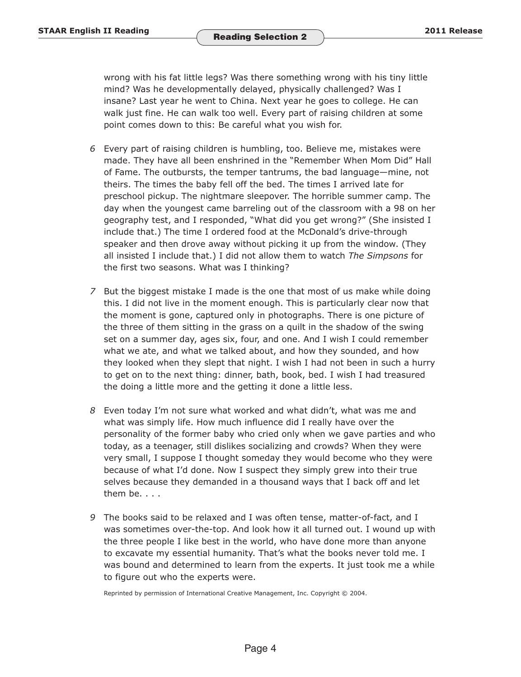wrong with his fat little legs? Was there something wrong with his tiny little mind? Was he developmentally delayed, physically challenged? Was I insane? Last year he went to China. Next year he goes to college. He can walk just fine. He can walk too well. Every part of raising children at some point comes down to this: Be careful what you wish for.

- *6* Every part of raising children is humbling, too. Believe me, mistakes were made. They have all been enshrined in the "Remember When Mom Did" Hall of Fame. The outbursts, the temper tantrums, the bad language—mine, not theirs. The times the baby fell off the bed. The times I arrived late for preschool pickup. The nightmare sleepover. The horrible summer camp. The day when the youngest came barreling out of the classroom with a 98 on her geography test, and I responded, "What did you get wrong?" (She insisted I include that.) The time I ordered food at the McDonald's drive-through speaker and then drove away without picking it up from the window. (They all insisted I include that.) I did not allow them to watch *The Simpsons* for the first two seasons. What was I thinking?
- 7 But the biggest mistake I made is the one that most of us make while doing this. I did not live in the moment enough. This is particularly clear now that the moment is gone, captured only in photographs. There is one picture of the three of them sitting in the grass on a quilt in the shadow of the swing set on a summer day, ages six, four, and one. And I wish I could remember what we ate, and what we talked about, and how they sounded, and how they looked when they slept that night. I wish I had not been in such a hurry to get on to the next thing: dinner, bath, book, bed. I wish I had treasured the doing a little more and the getting it done a little less.
- *8* Even today I'm not sure what worked and what didn't, what was me and what was simply life. How much influence did I really have over the personality of the former baby who cried only when we gave parties and who today, as a teenager, still dislikes socializing and crowds? When they were very small, I suppose I thought someday they would become who they were because of what I'd done. Now I suspect they simply grew into their true selves because they demanded in a thousand ways that I back off and let them be. . . .
- *9* The books said to be relaxed and I was often tense, matter-of-fact, and I was sometimes over-the-top. And look how it all turned out. I wound up with the three people I like best in the world, who have done more than anyone to excavate my essential humanity. That's what the books never told me. I was bound and determined to learn from the experts. It just took me a while to figure out who the experts were.

Reprinted by permission of International Creative Management, Inc. Copyright © 2004.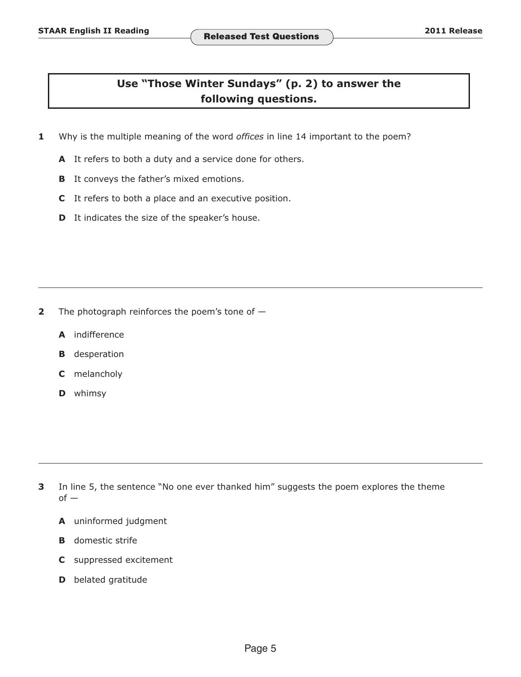### **Use "Those Winter Sundays" (p. 2) to answer the following questions.**

- **1** Why is the multiple meaning of the word *offices* in line 14 important to the poem?
	- **A** It refers to both a duty and a service done for others.
	- **B** It conveys the father's mixed emotions.
	- **C** It refers to both a place and an executive position.
	- **D** It indicates the size of the speaker's house.

- **2** The photograph reinforces the poem's tone of
	- **A** indifference
	- **B** desperation
	- **C** melancholy
	- **D** whimsy

- **3** In line 5, the sentence "No one ever thanked him" suggests the poem explores the theme  $of -$ 
	- **A** uninformed judgment
	- **B** domestic strife
	- **C** suppressed excitement
	- **D** belated gratitude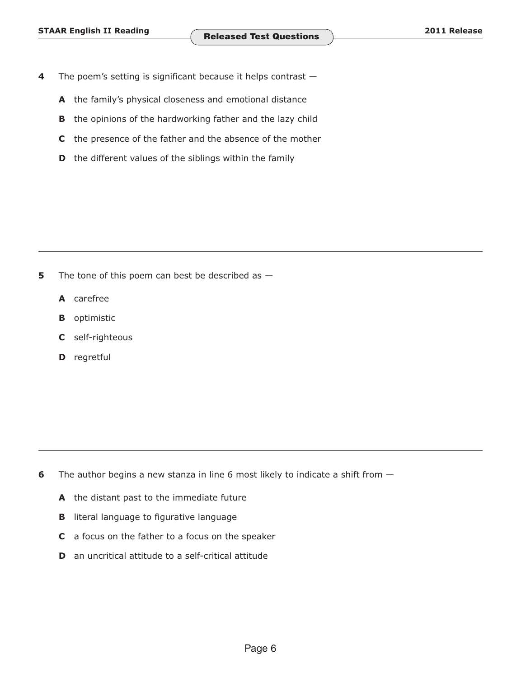- **4** The poem's setting is significant because it helps contrast
	- **A** the family's physical closeness and emotional distance
	- **B** the opinions of the hardworking father and the lazy child
	- **C** the presence of the father and the absence of the mother
	- **D** the different values of the siblings within the family

- **5** The tone of this poem can best be described as  $-$ 
	- **A** carefree
	- **B** optimistic
	- **C** self-righteous
	- **D** regretful

- **6**  The author begins a new stanza in line 6 most likely to indicate a shift from —
	- **A** the distant past to the immediate future
	- **B** literal language to figurative language
	- **C** a focus on the father to a focus on the speaker
	- **D** an uncritical attitude to a self-critical attitude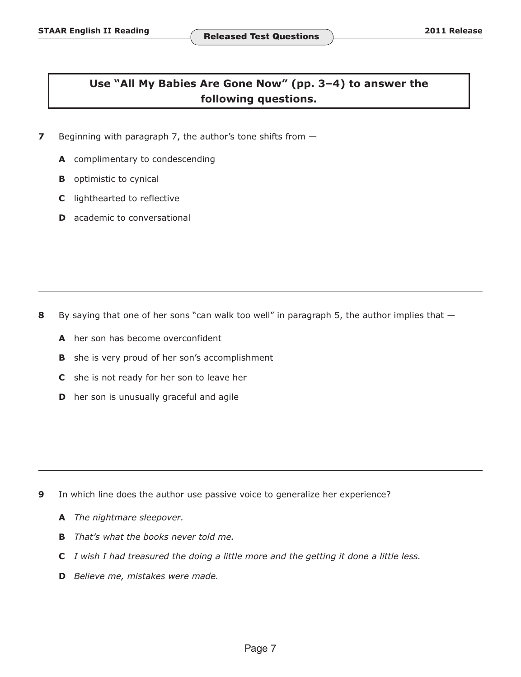#### **Use "All My Babies Are Gone Now" (pp. 3–4) to answer the following questions.**

- **7** Beginning with paragraph 7, the author's tone shifts from  $-$ 
	- **A** complimentary to condescending
	- **B** optimistic to cynical
	- **C** lighthearted to reflective
	- **D** academic to conversational

- **8**  By saying that one of her sons "can walk too well" in paragraph 5, the author implies that  $-$ 
	- A her son has become overconfident
	- **B** she is very proud of her son's accomplishment
	- **C** she is not ready for her son to leave her
	- **D** her son is unusually graceful and agile

- **9** In which line does the author use passive voice to generalize her experience?
	- **A** *The nightmare sleepover.*
	- **B** *That's what the books never told me.*
	- **C** *I wish I had treasured the doing a little more and the getting it done a little less.*
	- **D** *Believe me, mistakes were made.*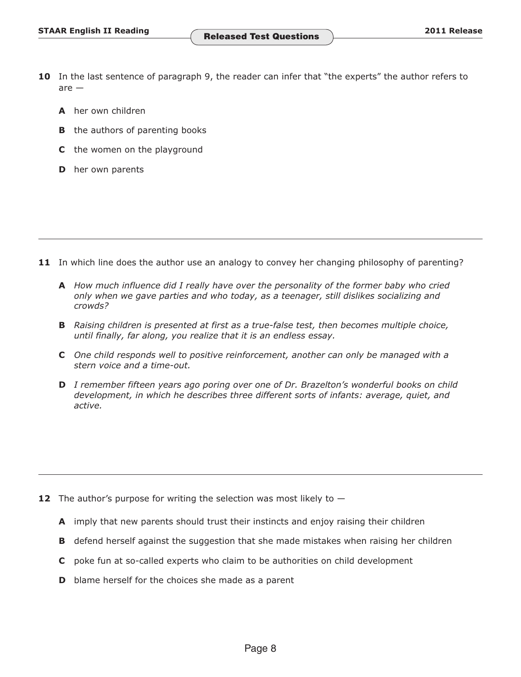- **10** In the last sentence of paragraph 9, the reader can infer that "the experts" the author refers to are —
	- **A** her own children
	- **B** the authors of parenting books
	- **C** the women on the playground
	- **D** her own parents

- **11** In which line does the author use an analogy to convey her changing philosophy of parenting?
	- **A** *How much influence did I really have over the personality of the former baby who cried only when we gave parties and who today, as a teenager, still dislikes socializing and crowds?*
	- **B** *Raising children is presented at first as a true-false test, then becomes multiple choice, until finally, far along, you realize that it is an endless essay.*
	- **C** *One child responds well to positive reinforcement, another can only be managed with a stern voice and a time-out.*
	- **D** *I remember fifteen years ago poring over one of Dr. Brazelton's wonderful books on child development, in which he describes three different sorts of infants: average, quiet, and active.*

- **12** The author's purpose for writing the selection was most likely to  $-$ 
	- **A** imply that new parents should trust their instincts and enjoy raising their children
	- **B** defend herself against the suggestion that she made mistakes when raising her children
	- **C** poke fun at so-called experts who claim to be authorities on child development
	- **D** blame herself for the choices she made as a parent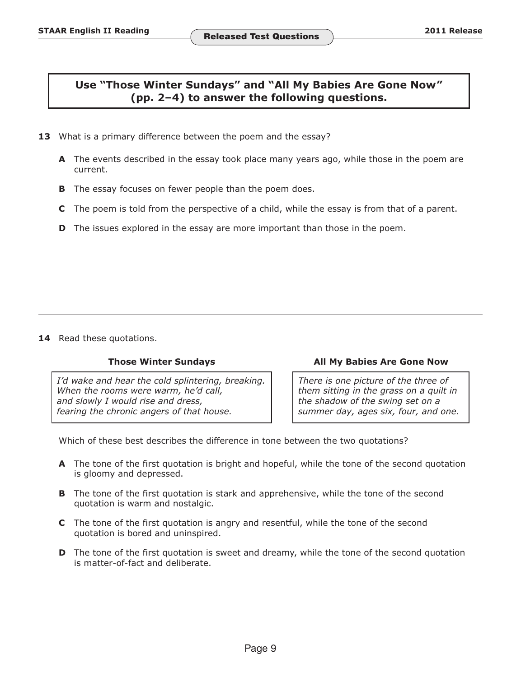#### Use "Those Winter Sundays" and "All My Babies Are Gone Now" **(pp. 2–4) to answer the following questions.**

- **13** What is a primary difference between the poem and the essay?
	- **A** The events described in the essay took place many years ago, while those in the poem are current.
	- **B** The essay focuses on fewer people than the poem does.
	- **C** The poem is told from the perspective of a child, while the essay is from that of a parent.
	- **D** The issues explored in the essay are more important than those in the poem.

14 Read these quotations.

*I'd wake and hear the cold splintering, breaking. When the rooms were warm, he'd call, and slowly I would rise and dress, fearing the chronic angers of that house.* 

#### **Those Winter Sundays All My Babies Are Gone Now**

*There is one picture of the three of them sitting in the grass on a quilt in the shadow of the swing set on a summer day, ages six, four, and one.* 

Which of these best describes the difference in tone between the two quotations?

- **A** The tone of the first quotation is bright and hopeful, while the tone of the second quotation is gloomy and depressed.
- **B** The tone of the first quotation is stark and apprehensive, while the tone of the second quotation is warm and nostalgic.
- **C** The tone of the first quotation is angry and resentful, while the tone of the second quotation is bored and uninspired.
- **D** The tone of the first quotation is sweet and dreamy, while the tone of the second quotation is matter-of-fact and deliberate.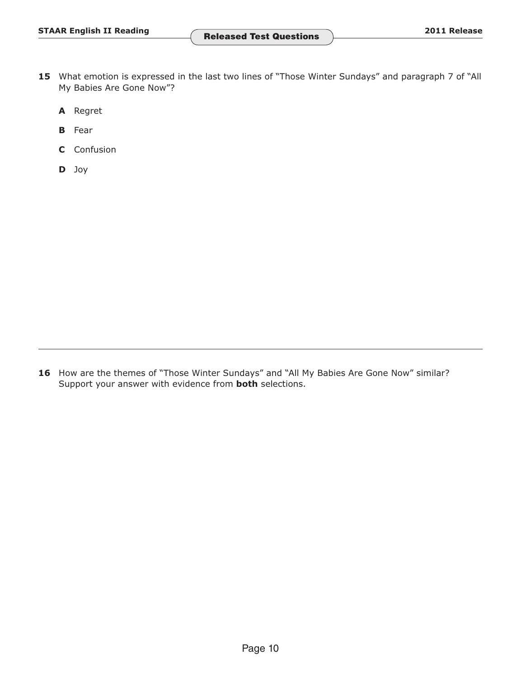- **15** What emotion is expressed in the last two lines of "Those Winter Sundays" and paragraph 7 of "All My Babies Are Gone Now"?
	- **A** Regret
	- **B** Fear
	- **C** Confusion
	- **D** Joy

16 How are the themes of "Those Winter Sundays" and "All My Babies Are Gone Now" similar? Support your answer with evidence from **both** selections.